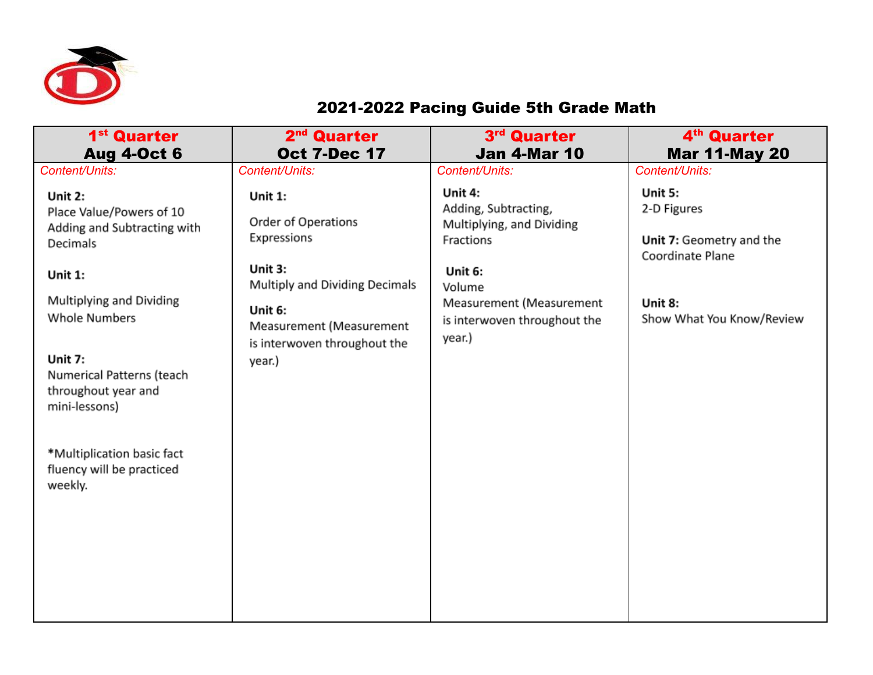

## 2021-2022 Pacing Guide 5th Grade Math

| 1 <sup>st</sup> Quarter<br><b>Aug 4-Oct 6</b>                                                                                                                                                                     | 2 <sup>nd</sup> Quarter<br><b>Oct 7-Dec 17</b>                                                                             | 3rd Quarter<br><b>Jan 4-Mar 10</b>                                                      | 4 <sup>th</sup> Quarter<br><b>Mar 11-May 20</b>          |
|-------------------------------------------------------------------------------------------------------------------------------------------------------------------------------------------------------------------|----------------------------------------------------------------------------------------------------------------------------|-----------------------------------------------------------------------------------------|----------------------------------------------------------|
| Content/Units:                                                                                                                                                                                                    | Content/Units:                                                                                                             | Content/Units:                                                                          | Content/Units:                                           |
| Unit 2:<br>Place Value/Powers of 10<br>Adding and Subtracting with<br>Decimals                                                                                                                                    | Unit 1:<br>Order of Operations<br>Expressions                                                                              | Unit 4:<br>Adding, Subtracting,<br>Multiplying, and Dividing<br>Fractions               | Unit 5:<br>2-D Figures<br>Unit 7: Geometry and the       |
| Unit 1:<br>Multiplying and Dividing<br><b>Whole Numbers</b><br>Unit 7:<br>Numerical Patterns (teach<br>throughout year and<br>mini-lessons)<br>*Multiplication basic fact<br>fluency will be practiced<br>weekly. | Unit 3:<br>Multiply and Dividing Decimals<br>Unit 6:<br>Measurement (Measurement<br>is interwoven throughout the<br>year.) | Unit 6:<br>Volume<br>Measurement (Measurement<br>is interwoven throughout the<br>year.) | Coordinate Plane<br>Unit 8:<br>Show What You Know/Review |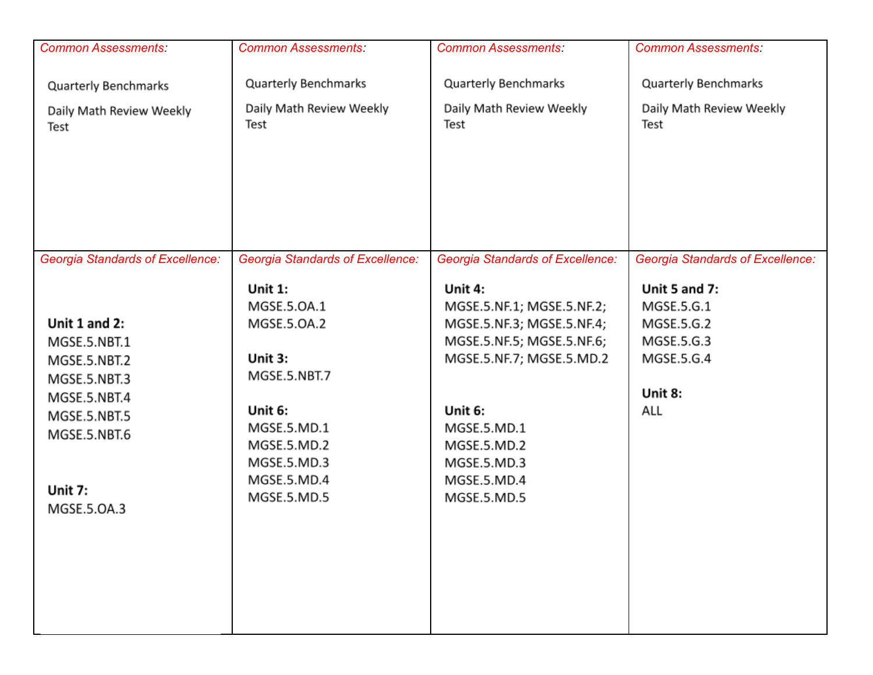| <b>Common Assessments:</b>                       | <b>Common Assessments:</b>                              | <b>Common Assessments:</b>                                        | <b>Common Assessments:</b>                       |
|--------------------------------------------------|---------------------------------------------------------|-------------------------------------------------------------------|--------------------------------------------------|
| Quarterly Benchmarks<br>Daily Math Review Weekly | <b>Quarterly Benchmarks</b><br>Daily Math Review Weekly | <b>Quarterly Benchmarks</b><br>Daily Math Review Weekly           | Quarterly Benchmarks<br>Daily Math Review Weekly |
| Test                                             | Test                                                    | Test                                                              | Test                                             |
| <b>Georgia Standards of Excellence:</b>          | <b>Georgia Standards of Excellence:</b>                 | <b>Georgia Standards of Excellence:</b>                           | <b>Georgia Standards of Excellence:</b>          |
| Unit 1 and 2:                                    | <b>Unit 1:</b><br>MGSE.5.OA.1<br>MGSE.5.OA.2            | Unit 4:<br>MGSE.5.NF.1; MGSE.5.NF.2;<br>MGSE.5.NF.3; MGSE.5.NF.4; | Unit 5 and 7:<br>MGSE.5.G.1<br>MGSE.5.G.2        |
| MGSE.5.NBT.1                                     |                                                         | MGSE.5.NF.5; MGSE.5.NF.6;                                         | MGSE.5.G.3                                       |
| MGSE.5.NBT.2                                     | Unit 3:                                                 | MGSE.5.NF.7; MGSE.5.MD.2                                          | MGSE.5.G.4                                       |
| MGSE.5.NBT.3                                     | MGSE.5.NBT.7                                            |                                                                   | Unit 8:                                          |
| MGSE.5.NBT.4<br>MGSE.5.NBT.5                     | Unit 6:                                                 | Unit 6:                                                           | ALL                                              |
| MGSE.5.NBT.6                                     | MGSE.5.MD.1                                             | MGSE.5.MD.1                                                       |                                                  |
|                                                  | MGSE.5.MD.2                                             | MGSE.5.MD.2                                                       |                                                  |
|                                                  | MGSE.5.MD.3<br>MGSE.5.MD.4                              | MGSE.5.MD.3<br>MGSE.5.MD.4                                        |                                                  |
| Unit 7:                                          | MGSE.5.MD.5                                             | MGSE.5.MD.5                                                       |                                                  |
| MGSE.5.OA.3                                      |                                                         |                                                                   |                                                  |
|                                                  |                                                         |                                                                   |                                                  |
|                                                  |                                                         |                                                                   |                                                  |
|                                                  |                                                         |                                                                   |                                                  |
|                                                  |                                                         |                                                                   |                                                  |
|                                                  |                                                         |                                                                   |                                                  |